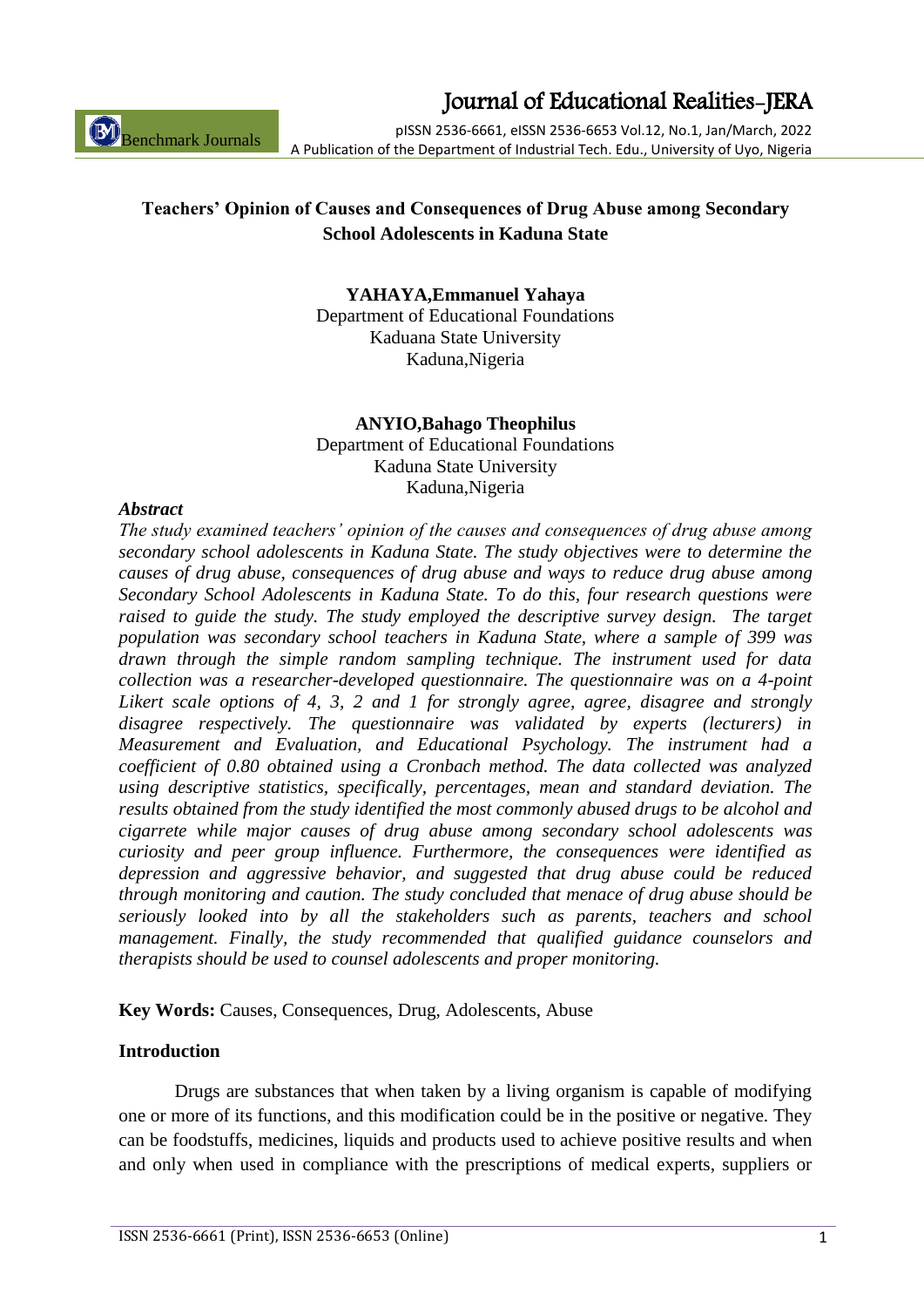ISSN 2536-6661 (Print), ISSN 2536-6653 (Online) 1

### Journal of Educational Realities-JERA

pISSN 2536-6661, eISSN 2536-6653 Vol.12, No.1, Jan/March, 2022 A Publication of the Department of Industrial Tech. Edu., University of Uyo, Nigeria

### **Teachers' Opinion of Causes and Consequences of Drug Abuse among Secondary School Adolescents in Kaduna State**

**YAHAYA,Emmanuel Yahaya**

Department of Educational Foundations Kaduana State University Kaduna,Nigeria

### **ANYIO,Bahago Theophilus** Department of Educational Foundations Kaduna State University Kaduna,Nigeria

### *Abstract*

Benchmark Journals

*The study examined teachers' opinion of the causes and consequences of drug abuse among secondary school adolescents in Kaduna State. The study objectives were to determine the causes of drug abuse, consequences of drug abuse and ways to reduce drug abuse among Secondary School Adolescents in Kaduna State. To do this, four research questions were raised to guide the study. The study employed the descriptive survey design. The target population was secondary school teachers in Kaduna State, where a sample of 399 was drawn through the simple random sampling technique. The instrument used for data collection was a researcher-developed questionnaire. The questionnaire was on a 4-point Likert scale options of 4, 3, 2 and 1 for strongly agree, agree, disagree and strongly disagree respectively. The questionnaire was validated by experts (lecturers) in Measurement and Evaluation, and Educational Psychology. The instrument had a coefficient of 0.80 obtained using a Cronbach method. The data collected was analyzed using descriptive statistics, specifically, percentages, mean and standard deviation. The results obtained from the study identified the most commonly abused drugs to be alcohol and cigarrete while major causes of drug abuse among secondary school adolescents was curiosity and peer group influence. Furthermore, the consequences were identified as depression and aggressive behavior, and suggested that drug abuse could be reduced through monitoring and caution. The study concluded that menace of drug abuse should be seriously looked into by all the stakeholders such as parents, teachers and school management. Finally, the study recommended that qualified guidance counselors and therapists should be used to counsel adolescents and proper monitoring.*

**Key Words:** Causes, Consequences, Drug, Adolescents, Abuse

### **Introduction**

Drugs are substances that when taken by a living organism is capable of modifying one or more of its functions, and this modification could be in the positive or negative. They can be foodstuffs, medicines, liquids and products used to achieve positive results and when and only when used in compliance with the prescriptions of medical experts, suppliers or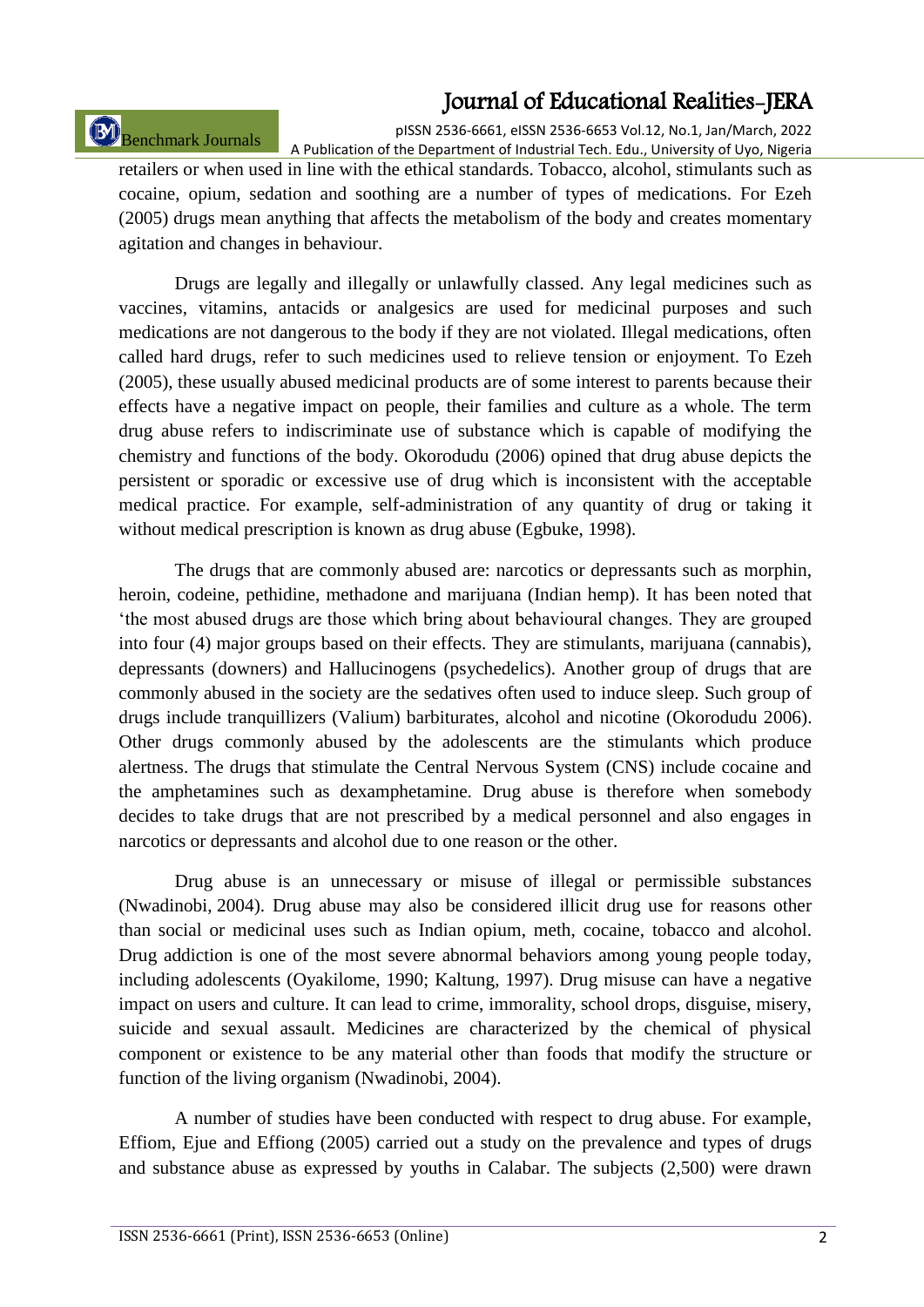# Benchmark Journals

pISSN 2536-6661, eISSN 2536-6653 Vol.12, No.1, Jan/March, 2022 A Publication of the Department of Industrial Tech. Edu., University of Uyo, Nigeria

retailers or when used in line with the ethical standards. Tobacco, alcohol, stimulants such as cocaine, opium, sedation and soothing are a number of types of medications. For Ezeh (2005) drugs mean anything that affects the metabolism of the body and creates momentary agitation and changes in behaviour.

Drugs are legally and illegally or unlawfully classed. Any legal medicines such as vaccines, vitamins, antacids or analgesics are used for medicinal purposes and such medications are not dangerous to the body if they are not violated. Illegal medications, often called hard drugs, refer to such medicines used to relieve tension or enjoyment. To Ezeh (2005), these usually abused medicinal products are of some interest to parents because their effects have a negative impact on people, their families and culture as a whole. The term drug abuse refers to indiscriminate use of substance which is capable of modifying the chemistry and functions of the body. Okorodudu (2006) opined that drug abuse depicts the persistent or sporadic or excessive use of drug which is inconsistent with the acceptable medical practice. For example, self-administration of any quantity of drug or taking it without medical prescription is known as drug abuse (Egbuke, 1998).

The drugs that are commonly abused are: narcotics or depressants such as morphin, heroin, codeine, pethidine, methadone and marijuana (Indian hemp). It has been noted that "the most abused drugs are those which bring about behavioural changes. They are grouped into four (4) major groups based on their effects. They are stimulants, marijuana (cannabis), depressants (downers) and Hallucinogens (psychedelics). Another group of drugs that are commonly abused in the society are the sedatives often used to induce sleep. Such group of drugs include tranquillizers (Valium) barbiturates, alcohol and nicotine (Okorodudu 2006). Other drugs commonly abused by the adolescents are the stimulants which produce alertness. The drugs that stimulate the Central Nervous System (CNS) include cocaine and the amphetamines such as dexamphetamine. Drug abuse is therefore when somebody decides to take drugs that are not prescribed by a medical personnel and also engages in narcotics or depressants and alcohol due to one reason or the other.

Drug abuse is an unnecessary or misuse of illegal or permissible substances (Nwadinobi, 2004). Drug abuse may also be considered illicit drug use for reasons other than social or medicinal uses such as Indian opium, meth, cocaine, tobacco and alcohol. Drug addiction is one of the most severe abnormal behaviors among young people today, including adolescents (Oyakilome, 1990; Kaltung, 1997). Drug misuse can have a negative impact on users and culture. It can lead to crime, immorality, school drops, disguise, misery, suicide and sexual assault. Medicines are characterized by the chemical of physical component or existence to be any material other than foods that modify the structure or function of the living organism (Nwadinobi, 2004).

A number of studies have been conducted with respect to drug abuse. For example, Effiom, Ejue and Effiong (2005) carried out a study on the prevalence and types of drugs and substance abuse as expressed by youths in Calabar. The subjects (2,500) were drawn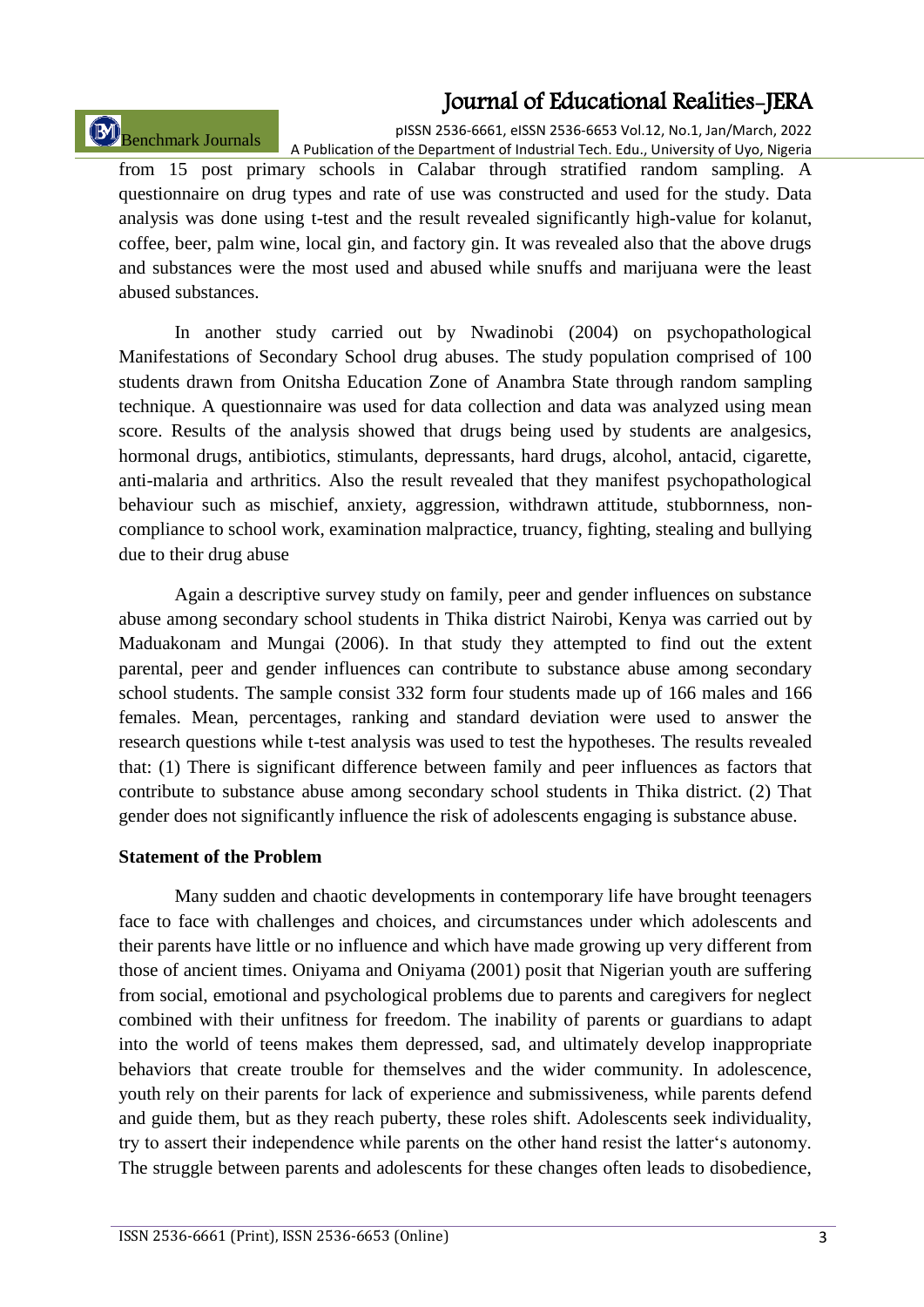# Benchmark Journals

pISSN 2536-6661, eISSN 2536-6653 Vol.12, No.1, Jan/March, 2022 A Publication of the Department of Industrial Tech. Edu., University of Uyo, Nigeria

from 15 post primary schools in Calabar through stratified random sampling. A questionnaire on drug types and rate of use was constructed and used for the study. Data analysis was done using t-test and the result revealed significantly high-value for kolanut, coffee, beer, palm wine, local gin, and factory gin. It was revealed also that the above drugs and substances were the most used and abused while snuffs and marijuana were the least abused substances.

In another study carried out by Nwadinobi (2004) on psychopathological Manifestations of Secondary School drug abuses. The study population comprised of 100 students drawn from Onitsha Education Zone of Anambra State through random sampling technique. A questionnaire was used for data collection and data was analyzed using mean score. Results of the analysis showed that drugs being used by students are analgesics, hormonal drugs, antibiotics, stimulants, depressants, hard drugs, alcohol, antacid, cigarette, anti-malaria and arthritics. Also the result revealed that they manifest psychopathological behaviour such as mischief, anxiety, aggression, withdrawn attitude, stubbornness, noncompliance to school work, examination malpractice, truancy, fighting, stealing and bullying due to their drug abuse

Again a descriptive survey study on family, peer and gender influences on substance abuse among secondary school students in Thika district Nairobi, Kenya was carried out by Maduakonam and Mungai (2006). In that study they attempted to find out the extent parental, peer and gender influences can contribute to substance abuse among secondary school students. The sample consist 332 form four students made up of 166 males and 166 females. Mean, percentages, ranking and standard deviation were used to answer the research questions while t-test analysis was used to test the hypotheses. The results revealed that: (1) There is significant difference between family and peer influences as factors that contribute to substance abuse among secondary school students in Thika district. (2) That gender does not significantly influence the risk of adolescents engaging is substance abuse.

#### **Statement of the Problem**

Many sudden and chaotic developments in contemporary life have brought teenagers face to face with challenges and choices, and circumstances under which adolescents and their parents have little or no influence and which have made growing up very different from those of ancient times. Oniyama and Oniyama (2001) posit that Nigerian youth are suffering from social, emotional and psychological problems due to parents and caregivers for neglect combined with their unfitness for freedom. The inability of parents or guardians to adapt into the world of teens makes them depressed, sad, and ultimately develop inappropriate behaviors that create trouble for themselves and the wider community. In adolescence, youth rely on their parents for lack of experience and submissiveness, while parents defend and guide them, but as they reach puberty, these roles shift. Adolescents seek individuality, try to assert their independence while parents on the other hand resist the latter's autonomy. The struggle between parents and adolescents for these changes often leads to disobedience,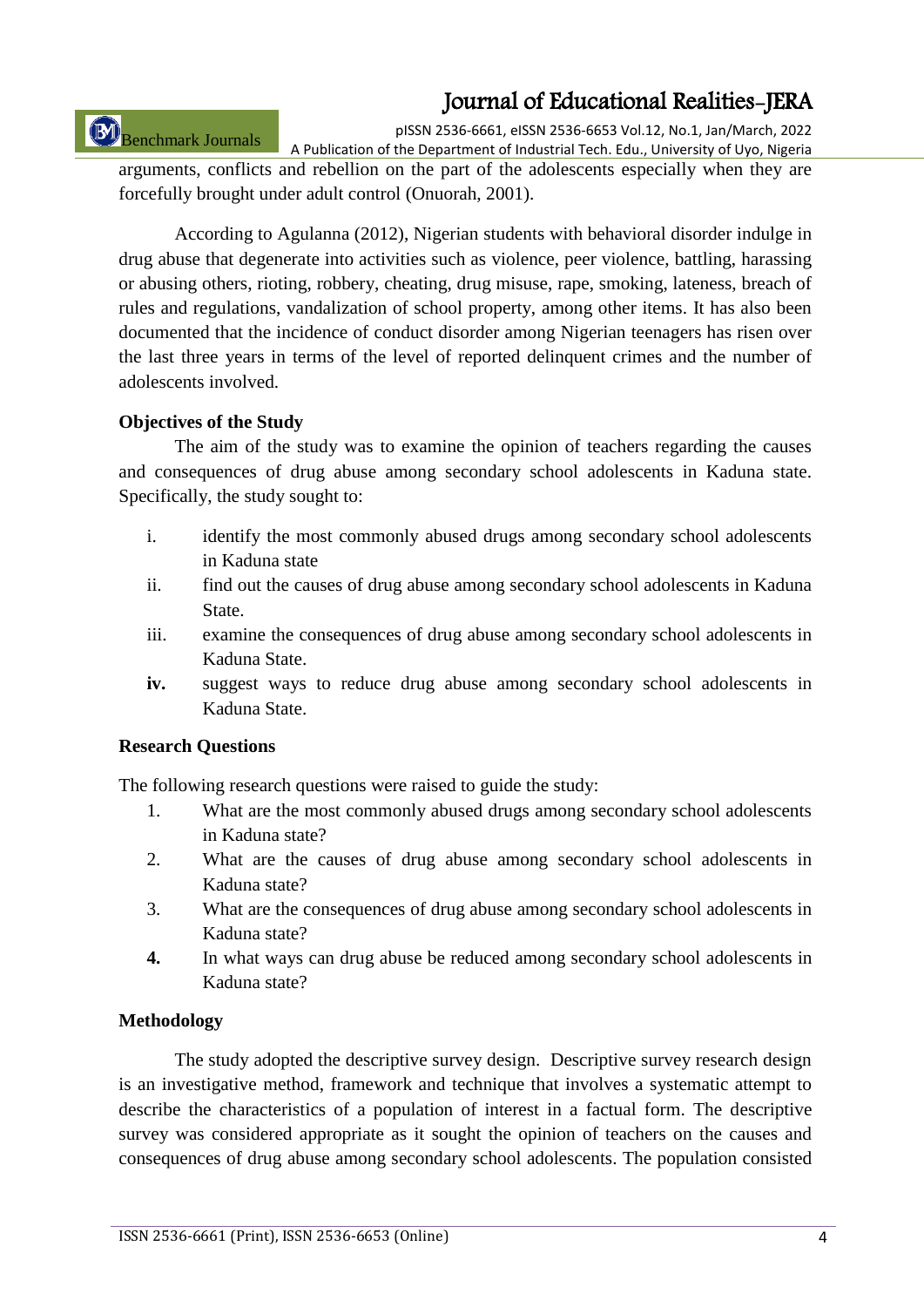# Benchmark Journals

pISSN 2536-6661, eISSN 2536-6653 Vol.12, No.1, Jan/March, 2022 A Publication of the Department of Industrial Tech. Edu., University of Uyo, Nigeria

arguments, conflicts and rebellion on the part of the adolescents especially when they are forcefully brought under adult control (Onuorah, 2001).

According to Agulanna (2012), Nigerian students with behavioral disorder indulge in drug abuse that degenerate into activities such as violence, peer violence, battling, harassing or abusing others, rioting, robbery, cheating, drug misuse, rape, smoking, lateness, breach of rules and regulations, vandalization of school property, among other items. It has also been documented that the incidence of conduct disorder among Nigerian teenagers has risen over the last three years in terms of the level of reported delinquent crimes and the number of adolescents involved.

### **Objectives of the Study**

The aim of the study was to examine the opinion of teachers regarding the causes and consequences of drug abuse among secondary school adolescents in Kaduna state. Specifically, the study sought to:

- i. identify the most commonly abused drugs among secondary school adolescents in Kaduna state
- ii. find out the causes of drug abuse among secondary school adolescents in Kaduna State.
- iii. examine the consequences of drug abuse among secondary school adolescents in Kaduna State.
- **iv.** suggest ways to reduce drug abuse among secondary school adolescents in Kaduna State.

#### **Research Questions**

The following research questions were raised to guide the study:

- 1. What are the most commonly abused drugs among secondary school adolescents in Kaduna state?
- 2. What are the causes of drug abuse among secondary school adolescents in Kaduna state?
- 3. What are the consequences of drug abuse among secondary school adolescents in Kaduna state?
- **4.** In what ways can drug abuse be reduced among secondary school adolescents in Kaduna state?

### **Methodology**

The study adopted the descriptive survey design. Descriptive survey research design is an investigative method, framework and technique that involves a systematic attempt to describe the characteristics of a population of interest in a factual form. The descriptive survey was considered appropriate as it sought the opinion of teachers on the causes and consequences of drug abuse among secondary school adolescents. The population consisted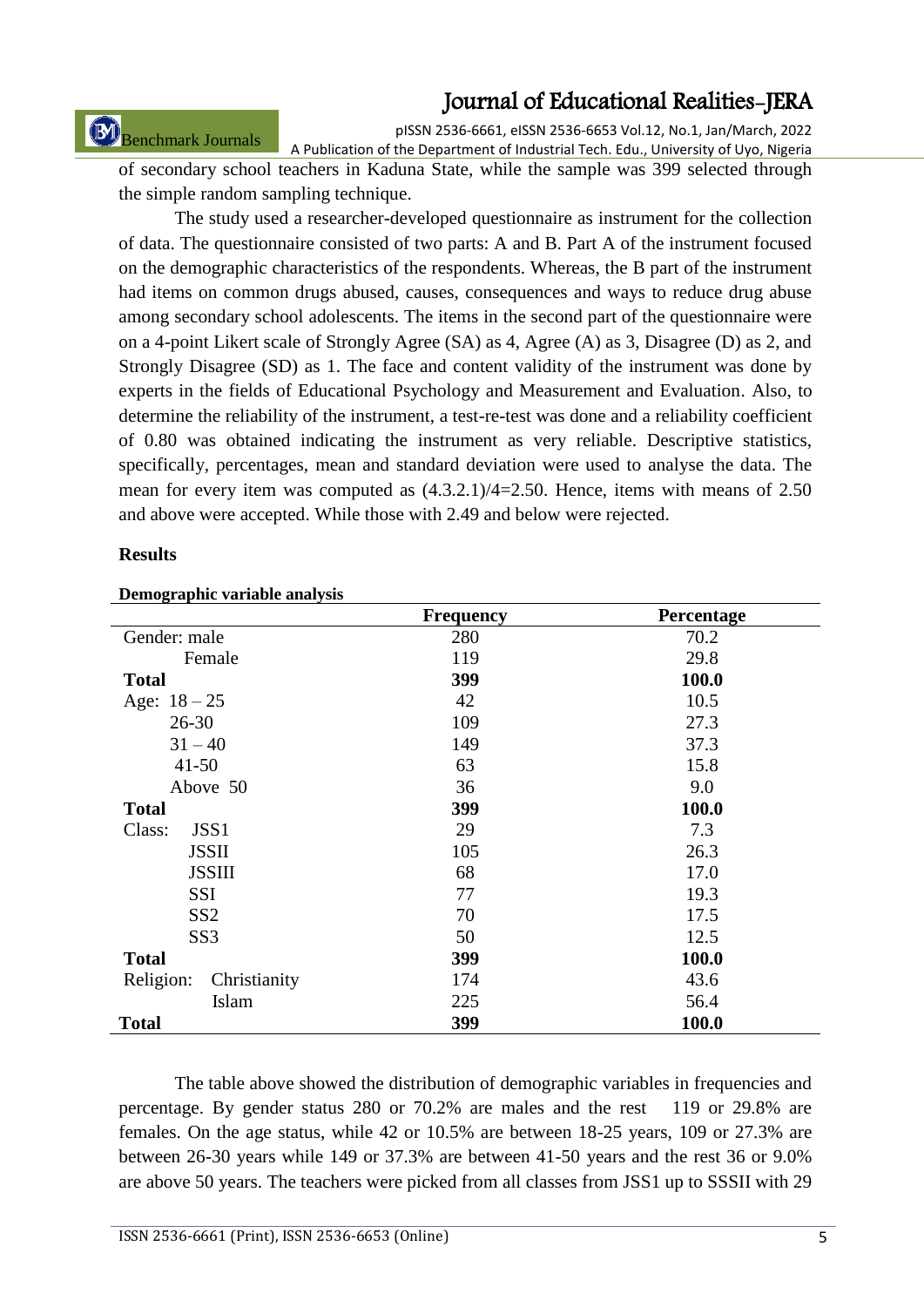Benchmark Journals

pISSN 2536-6661, eISSN 2536-6653 Vol.12, No.1, Jan/March, 2022 A Publication of the Department of Industrial Tech. Edu., University of Uyo, Nigeria

of secondary school teachers in Kaduna State, while the sample was 399 selected through the simple random sampling technique.

The study used a researcher-developed questionnaire as instrument for the collection of data. The questionnaire consisted of two parts: A and B. Part A of the instrument focused on the demographic characteristics of the respondents. Whereas, the B part of the instrument had items on common drugs abused, causes, consequences and ways to reduce drug abuse among secondary school adolescents. The items in the second part of the questionnaire were on a 4-point Likert scale of Strongly Agree (SA) as 4, Agree (A) as 3, Disagree (D) as 2, and Strongly Disagree (SD) as 1. The face and content validity of the instrument was done by experts in the fields of Educational Psychology and Measurement and Evaluation. Also, to determine the reliability of the instrument, a test-re-test was done and a reliability coefficient of 0.80 was obtained indicating the instrument as very reliable. Descriptive statistics, specifically, percentages, mean and standard deviation were used to analyse the data. The mean for every item was computed as (4.3.2.1)/4=2.50. Hence, items with means of 2.50 and above were accepted. While those with 2.49 and below were rejected.

### **Results**

| Demographic variable analysis |                  |            |
|-------------------------------|------------------|------------|
|                               | <b>Frequency</b> | Percentage |
| Gender: male                  | 280              | 70.2       |
| Female                        | 119              | 29.8       |
| <b>Total</b>                  | 399              | 100.0      |
| Age: $18 - 25$                | 42               | 10.5       |
| $26 - 30$                     | 109              | 27.3       |
| $31 - 40$                     | 149              | 37.3       |
| $41 - 50$                     | 63               | 15.8       |
| Above 50                      | 36               | 9.0        |
| <b>Total</b>                  | 399              | 100.0      |
| Class:<br>JSS1                | 29               | 7.3        |
| <b>JSSII</b>                  | 105              | 26.3       |
| <b>JSSIII</b>                 | 68               | 17.0       |
| SSI                           | 77               | 19.3       |
| SS <sub>2</sub>               | 70               | 17.5       |
| SS <sub>3</sub>               | 50               | 12.5       |
| <b>Total</b>                  | 399              | 100.0      |
| Religion:<br>Christianity     | 174              | 43.6       |
| Islam                         | 225              | 56.4       |
| <b>Total</b>                  | 399              | 100.0      |

#### **Demographic variable analysis**

The table above showed the distribution of demographic variables in frequencies and percentage. By gender status 280 or 70.2% are males and the rest 119 or 29.8% are females. On the age status, while 42 or 10.5% are between 18-25 years, 109 or 27.3% are between 26-30 years while 149 or 37.3% are between 41-50 years and the rest 36 or 9.0% are above 50 years. The teachers were picked from all classes from JSS1 up to SSSII with 29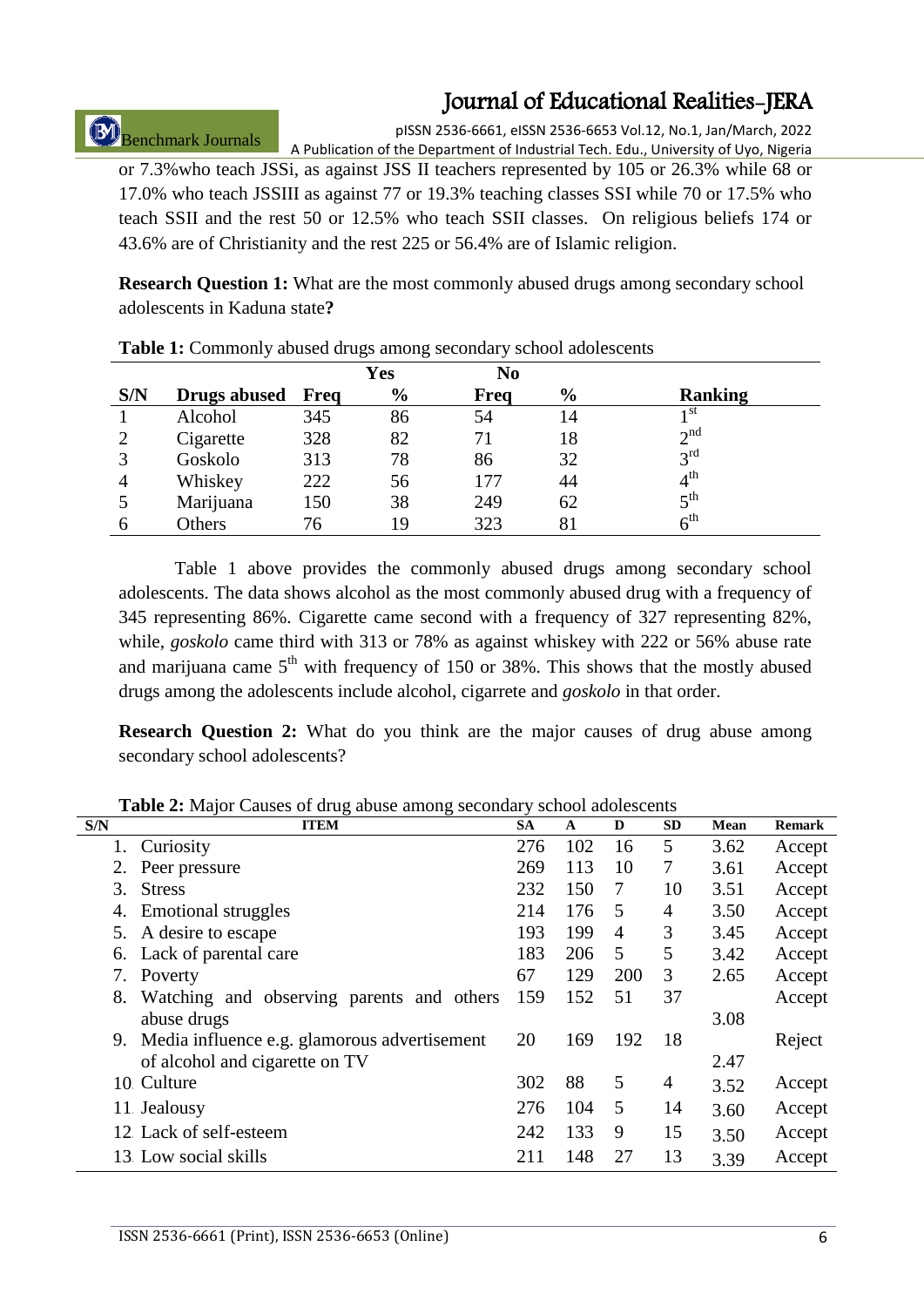# Benchmark Journals

pISSN 2536-6661, eISSN 2536-6653 Vol.12, No.1, Jan/March, 2022 A Publication of the Department of Industrial Tech. Edu., University of Uyo, Nigeria

or 7.3%who teach JSSi, as against JSS II teachers represented by 105 or 26.3% while 68 or 17.0% who teach JSSIII as against 77 or 19.3% teaching classes SSI while 70 or 17.5% who teach SSII and the rest 50 or 12.5% who teach SSII classes. On religious beliefs 174 or 43.6% are of Christianity and the rest 225 or 56.4% are of Islamic religion.

**Research Question 1:** What are the most commonly abused drugs among secondary school adolescents in Kaduna state**?**

|                |                     |      | Yes           | N <sub>0</sub> |               |                 |
|----------------|---------------------|------|---------------|----------------|---------------|-----------------|
| S/N            | <b>Drugs abused</b> | Freq | $\frac{6}{9}$ | Freq           | $\frac{6}{6}$ | <b>Ranking</b>  |
|                | Alcohol             | 345  | 86            | 54             | 14            | 1 St            |
|                | Cigarette           | 328  | 82            | 71             | 18            | $2^{nd}$        |
| 3              | Goskolo             | 313  | 78            | 86             | 32            | $3^{\text{rd}}$ |
| $\overline{4}$ | Whiskey             | 222  | 56            | 177            | 44            | $4^{\text{th}}$ |
|                | Marijuana           | 150  | 38            | 249            | 62            | $5^{\text{th}}$ |
| h              | Others              | 76   | 19            | 323            | 81            | $6^{\text{th}}$ |

**Table 1:** Commonly abused drugs among secondary school adolescents

Table 1 above provides the commonly abused drugs among secondary school adolescents. The data shows alcohol as the most commonly abused drug with a frequency of 345 representing 86%. Cigarette came second with a frequency of 327 representing 82%, while, *goskolo* came third with 313 or 78% as against whiskey with 222 or 56% abuse rate and marijuana came  $5<sup>th</sup>$  with frequency of 150 or 38%. This shows that the mostly abused drugs among the adolescents include alcohol, cigarrete and *goskolo* in that order.

**Research Question 2:** What do you think are the major causes of drug abuse among secondary school adolescents?

|     | <b>Twore 2.</b> The process of ang above among secondary sensor adorescents |     |     |     |                 |      |               |
|-----|-----------------------------------------------------------------------------|-----|-----|-----|-----------------|------|---------------|
| S/N | <b>ITEM</b>                                                                 | SA  | A   | D   | <b>SD</b>       | Mean | <b>Remark</b> |
|     | 1. Curiosity                                                                | 276 | 102 | 16  | 5               | 3.62 | Accept        |
| 2.  | Peer pressure                                                               | 269 | 113 | 10  | $7\phantom{.0}$ | 3.61 | Accept        |
| 3.  | <b>Stress</b>                                                               | 232 | 150 | 7   | 10              | 3.51 | Accept        |
| 4.  | <b>Emotional struggles</b>                                                  | 214 | 176 | 5   | 4               | 3.50 | Accept        |
| 5.  | A desire to escape                                                          | 193 | 199 | 4   | 3               | 3.45 | Accept        |
|     | 6. Lack of parental care                                                    | 183 | 206 | 5   | 5               | 3.42 | Accept        |
| 7.  | Poverty                                                                     | 67  | 129 | 200 | 3               | 2.65 | Accept        |
| 8.  | Watching and observing parents and others                                   | 159 | 152 | 51  | 37              |      | Accept        |
|     | abuse drugs                                                                 |     |     |     |                 | 3.08 |               |
|     | 9. Media influence e.g. glamorous advertisement                             | 20  | 169 | 192 | 18              |      | Reject        |
|     | of alcohol and cigarette on TV                                              |     |     |     |                 | 2.47 |               |
|     | 10 Culture                                                                  | 302 | 88  | 5   | 4               | 3.52 | Accept        |
|     | 11 Jealousy                                                                 | 276 | 104 | 5   | 14              | 3.60 | Accept        |
|     | 12 Lack of self-esteem                                                      | 242 | 133 | 9   | 15              | 3.50 | Accept        |
|     | 13 Low social skills                                                        | 211 | 148 | 27  | 13              | 3.39 | Accept        |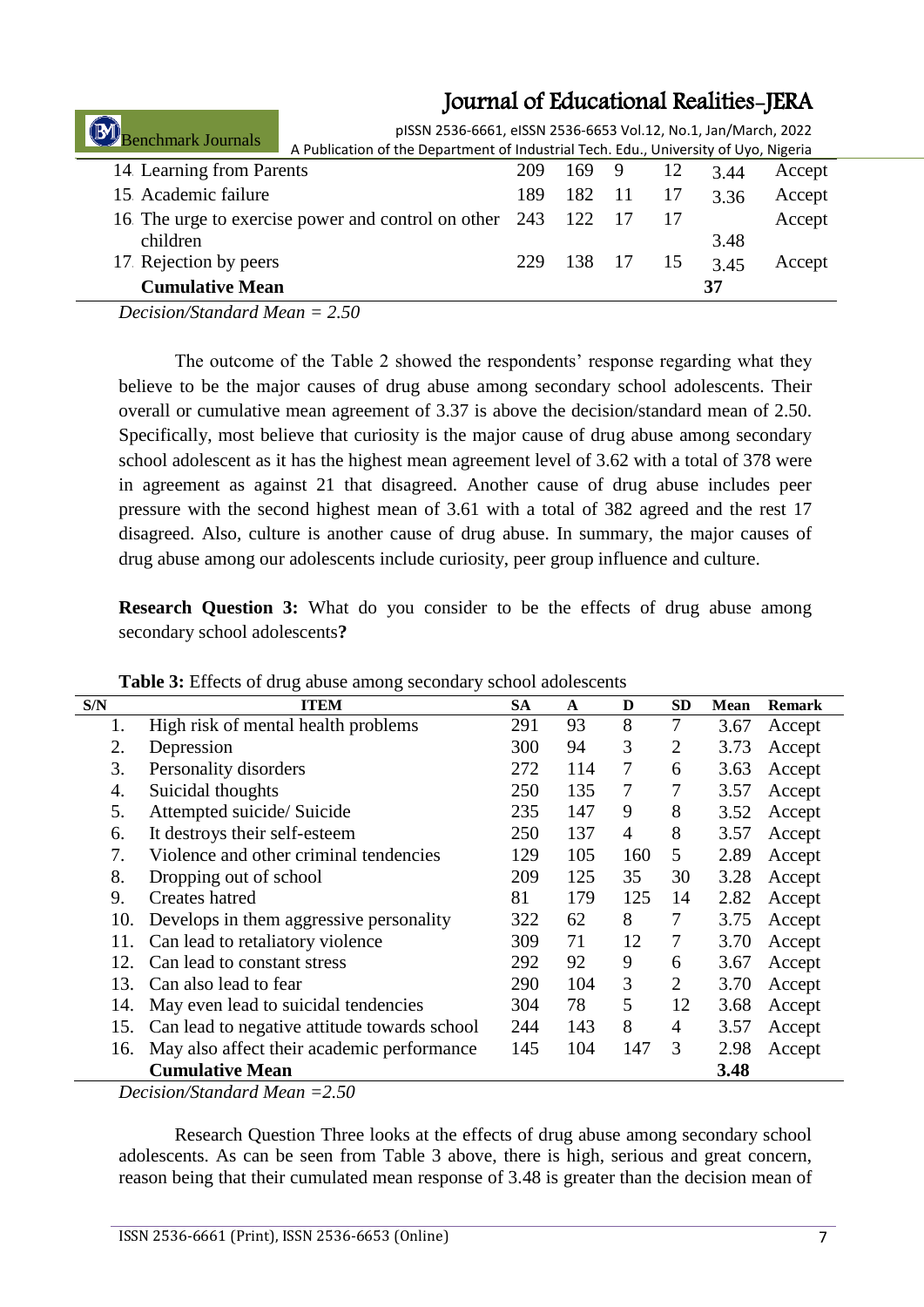| enchmark Journals               | pISSN 2536-6661, eISSN 2536-6653 Vol.12, No.1, Jan/March, 2022<br>A Publication of the Department of Industrial Tech. Edu., University of Uyo, Nigeria |     |     |      |     |      |        |
|---------------------------------|--------------------------------------------------------------------------------------------------------------------------------------------------------|-----|-----|------|-----|------|--------|
| 14 Learning from Parents        |                                                                                                                                                        | 209 | 169 | 9    | 12  | 3.44 | Accept |
| 15. Academic failure            |                                                                                                                                                        | 189 | 182 | 11   | 17  | 3.36 | Accept |
| children                        | 16. The urge to exercise power and control on other 243                                                                                                |     | 122 | - 17 | 17  | 3.48 | Accept |
| 17 Rejection by peers           |                                                                                                                                                        | 229 | 138 | -17  | -15 | 3.45 | Accept |
| <b>Cumulative Mean</b>          |                                                                                                                                                        |     |     |      |     | 37   |        |
| Decision/Standard Mean $= 2.50$ |                                                                                                                                                        |     |     |      |     |      |        |

The outcome of the Table 2 showed the respondents' response regarding what they believe to be the major causes of drug abuse among secondary school adolescents. Their overall or cumulative mean agreement of 3.37 is above the decision/standard mean of 2.50. Specifically, most believe that curiosity is the major cause of drug abuse among secondary school adolescent as it has the highest mean agreement level of 3.62 with a total of 378 were in agreement as against 21 that disagreed. Another cause of drug abuse includes peer pressure with the second highest mean of 3.61 with a total of 382 agreed and the rest 17 disagreed. Also, culture is another cause of drug abuse. In summary, the major causes of drug abuse among our adolescents include curiosity, peer group influence and culture.

**Research Question 3:** What do you consider to be the effects of drug abuse among secondary school adolescents**?** 

| S/N | <b>ITEM</b>                                  | <b>SA</b> | $\mathbf{A}$ | D              | <b>SD</b>      | <b>Mean</b> | <b>Remark</b> |
|-----|----------------------------------------------|-----------|--------------|----------------|----------------|-------------|---------------|
| 1.  | High risk of mental health problems          | 291       | 93           | 8              | 7              | 3.67        | Accept        |
| 2.  | Depression                                   | 300       | 94           | 3              | $\overline{2}$ | 3.73        | Accept        |
| 3.  | Personality disorders                        | 272       | 114          | 7              | 6              | 3.63        | Accept        |
| 4.  | Suicidal thoughts                            | 250       | 135          | 7              | 7              | 3.57        | Accept        |
| 5.  | Attempted suicide/ Suicide                   | 235       | 147          | 9              | 8              | 3.52        | Accept        |
| 6.  | It destroys their self-esteem                | 250       | 137          | $\overline{4}$ | 8              | 3.57        | Accept        |
| 7.  | Violence and other criminal tendencies       | 129       | 105          | 160            | 5              | 2.89        | Accept        |
| 8.  | Dropping out of school                       | 209       | 125          | 35             | 30             | 3.28        | Accept        |
| 9.  | Creates hatred                               | 81        | 179          | 125            | 14             | 2.82        | Accept        |
| 10. | Develops in them aggressive personality      | 322       | 62           | 8              | $\overline{7}$ | 3.75        | Accept        |
| 11. | Can lead to retaliatory violence             | 309       | 71           | 12             | $\overline{7}$ | 3.70        | Accept        |
| 12. | Can lead to constant stress                  | 292       | 92           | 9              | 6              | 3.67        | Accept        |
| 13. | Can also lead to fear                        | 290       | 104          | 3              | $\overline{2}$ | 3.70        | Accept        |
| 14. | May even lead to suicidal tendencies         | 304       | 78           | 5              | 12             | 3.68        | Accept        |
| 15. | Can lead to negative attitude towards school | 244       | 143          | 8              | $\overline{4}$ | 3.57        | Accept        |
| 16. | May also affect their academic performance   | 145       | 104          | 147            | 3              | 2.98        | Accept        |
|     | <b>Cumulative Mean</b>                       |           |              |                |                | 3.48        |               |

**Table 3:** Effects of drug abuse among secondary school adolescents

*Decision/Standard Mean =2.50*

Research Question Three looks at the effects of drug abuse among secondary school adolescents. As can be seen from Table 3 above, there is high, serious and great concern, reason being that their cumulated mean response of 3.48 is greater than the decision mean of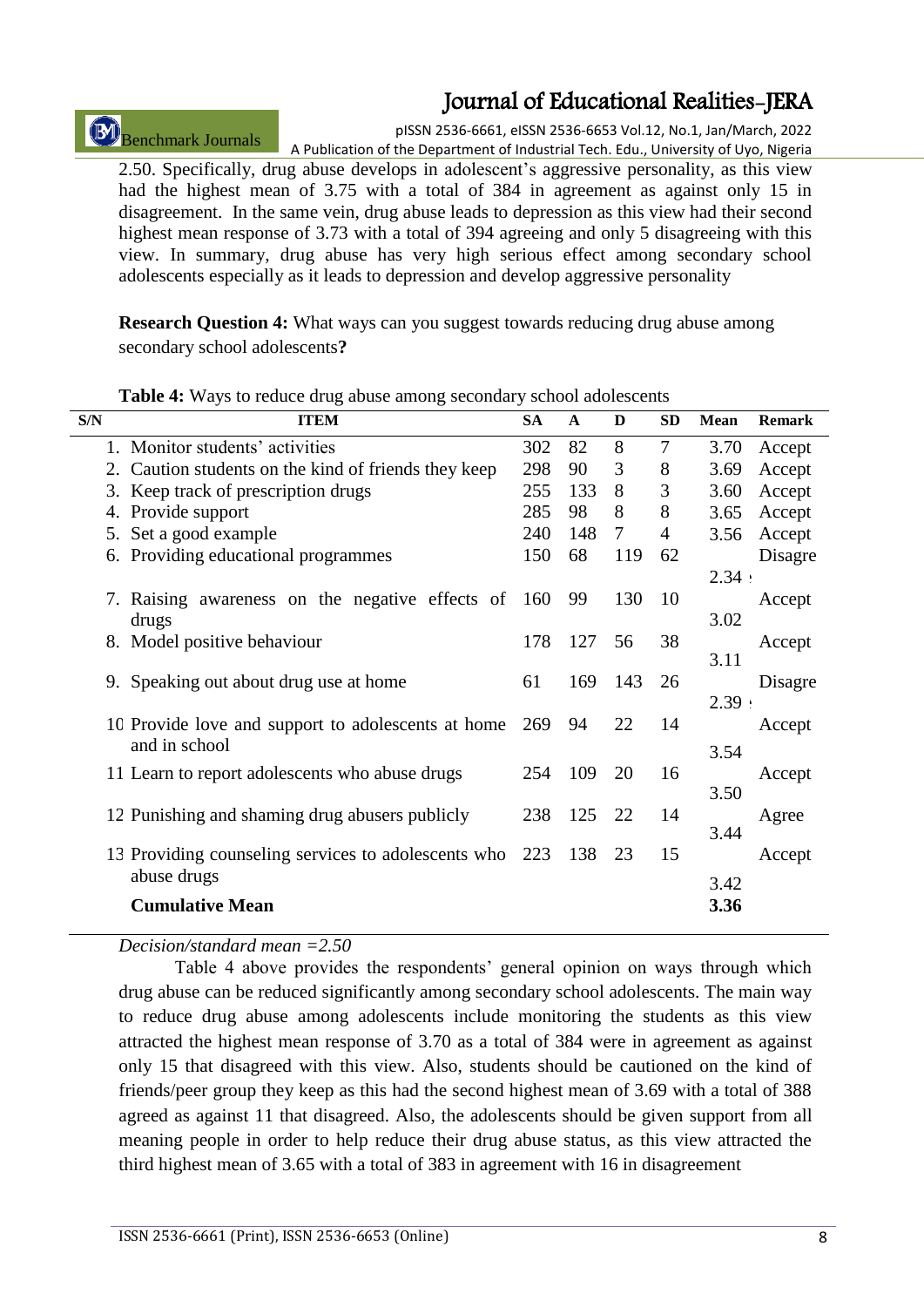# Benchmark Journals

pISSN 2536-6661, eISSN 2536-6653 Vol.12, No.1, Jan/March, 2022 A Publication of the Department of Industrial Tech. Edu., University of Uyo, Nigeria

2.50. Specifically, drug abuse develops in adolescent"s aggressive personality, as this view had the highest mean of 3.75 with a total of 384 in agreement as against only 15 in disagreement. In the same vein, drug abuse leads to depression as this view had their second highest mean response of 3.73 with a total of 394 agreeing and only 5 disagreeing with this view. In summary, drug abuse has very high serious effect among secondary school adolescents especially as it leads to depression and develop aggressive personality

**Research Question 4:** What ways can you suggest towards reducing drug abuse among secondary school adolescents**?** 

| 1. Monitor students' activities<br>8<br>7<br>302<br>82<br>3.70<br>Accept<br>3<br>298<br>90<br>8<br>2. Caution students on the kind of friends they keep<br>Accept<br>3.69<br>255<br>8<br>3<br>3. Keep track of prescription drugs<br>133<br>3.60<br>Accept<br>8<br>8<br>285<br>Provide support<br>98<br>3.65<br>Accept<br>4.<br>5. Set a good example<br>240<br>7<br>148<br>$\overline{4}$<br>Accept<br>3.56<br>Providing educational programmes<br>68<br>150<br>119<br>62<br>Disagre<br>6.<br>2.34 :<br>130<br>99<br>10<br>7. Raising awareness on the negative effects of<br>160<br>Accept<br>3.02<br>drugs<br>56<br>38<br>Model positive behaviour<br>178<br>127<br>Accept<br>8.<br>3.11<br>169<br>143<br>9. Speaking out about drug use at home<br>61<br>26<br>Disagre<br>2.39:<br>10 Provide love and support to adolescents at home<br>22<br>14<br>269<br>94<br>Accept<br>and in school<br>3.54<br>109<br>20<br>16<br>11 Learn to report adolescents who abuse drugs<br>254<br>Accept<br>3.50<br>12 Punishing and shaming drug abusers publicly<br>238<br>125<br>22<br>14<br>Agree<br>3.44<br>15<br>13 Providing counseling services to adolescents who<br>223<br>138<br>23<br>Accept<br>abuse drugs<br>3.42 | S/N | <b>ITEM</b> | <b>SA</b> | $\mathbf{A}$ | D | <b>SD</b> | <b>Mean</b> | <b>Remark</b> |
|--------------------------------------------------------------------------------------------------------------------------------------------------------------------------------------------------------------------------------------------------------------------------------------------------------------------------------------------------------------------------------------------------------------------------------------------------------------------------------------------------------------------------------------------------------------------------------------------------------------------------------------------------------------------------------------------------------------------------------------------------------------------------------------------------------------------------------------------------------------------------------------------------------------------------------------------------------------------------------------------------------------------------------------------------------------------------------------------------------------------------------------------------------------------------------------------------------------------|-----|-------------|-----------|--------------|---|-----------|-------------|---------------|
|                                                                                                                                                                                                                                                                                                                                                                                                                                                                                                                                                                                                                                                                                                                                                                                                                                                                                                                                                                                                                                                                                                                                                                                                                    |     |             |           |              |   |           |             |               |
|                                                                                                                                                                                                                                                                                                                                                                                                                                                                                                                                                                                                                                                                                                                                                                                                                                                                                                                                                                                                                                                                                                                                                                                                                    |     |             |           |              |   |           |             |               |
|                                                                                                                                                                                                                                                                                                                                                                                                                                                                                                                                                                                                                                                                                                                                                                                                                                                                                                                                                                                                                                                                                                                                                                                                                    |     |             |           |              |   |           |             |               |
|                                                                                                                                                                                                                                                                                                                                                                                                                                                                                                                                                                                                                                                                                                                                                                                                                                                                                                                                                                                                                                                                                                                                                                                                                    |     |             |           |              |   |           |             |               |
|                                                                                                                                                                                                                                                                                                                                                                                                                                                                                                                                                                                                                                                                                                                                                                                                                                                                                                                                                                                                                                                                                                                                                                                                                    |     |             |           |              |   |           |             |               |
|                                                                                                                                                                                                                                                                                                                                                                                                                                                                                                                                                                                                                                                                                                                                                                                                                                                                                                                                                                                                                                                                                                                                                                                                                    |     |             |           |              |   |           |             |               |
|                                                                                                                                                                                                                                                                                                                                                                                                                                                                                                                                                                                                                                                                                                                                                                                                                                                                                                                                                                                                                                                                                                                                                                                                                    |     |             |           |              |   |           |             |               |
|                                                                                                                                                                                                                                                                                                                                                                                                                                                                                                                                                                                                                                                                                                                                                                                                                                                                                                                                                                                                                                                                                                                                                                                                                    |     |             |           |              |   |           |             |               |
|                                                                                                                                                                                                                                                                                                                                                                                                                                                                                                                                                                                                                                                                                                                                                                                                                                                                                                                                                                                                                                                                                                                                                                                                                    |     |             |           |              |   |           |             |               |
|                                                                                                                                                                                                                                                                                                                                                                                                                                                                                                                                                                                                                                                                                                                                                                                                                                                                                                                                                                                                                                                                                                                                                                                                                    |     |             |           |              |   |           |             |               |
|                                                                                                                                                                                                                                                                                                                                                                                                                                                                                                                                                                                                                                                                                                                                                                                                                                                                                                                                                                                                                                                                                                                                                                                                                    |     |             |           |              |   |           |             |               |
|                                                                                                                                                                                                                                                                                                                                                                                                                                                                                                                                                                                                                                                                                                                                                                                                                                                                                                                                                                                                                                                                                                                                                                                                                    |     |             |           |              |   |           |             |               |
|                                                                                                                                                                                                                                                                                                                                                                                                                                                                                                                                                                                                                                                                                                                                                                                                                                                                                                                                                                                                                                                                                                                                                                                                                    |     |             |           |              |   |           |             |               |
|                                                                                                                                                                                                                                                                                                                                                                                                                                                                                                                                                                                                                                                                                                                                                                                                                                                                                                                                                                                                                                                                                                                                                                                                                    |     |             |           |              |   |           |             |               |
|                                                                                                                                                                                                                                                                                                                                                                                                                                                                                                                                                                                                                                                                                                                                                                                                                                                                                                                                                                                                                                                                                                                                                                                                                    |     |             |           |              |   |           |             |               |
|                                                                                                                                                                                                                                                                                                                                                                                                                                                                                                                                                                                                                                                                                                                                                                                                                                                                                                                                                                                                                                                                                                                                                                                                                    |     |             |           |              |   |           |             |               |
|                                                                                                                                                                                                                                                                                                                                                                                                                                                                                                                                                                                                                                                                                                                                                                                                                                                                                                                                                                                                                                                                                                                                                                                                                    |     |             |           |              |   |           |             |               |
|                                                                                                                                                                                                                                                                                                                                                                                                                                                                                                                                                                                                                                                                                                                                                                                                                                                                                                                                                                                                                                                                                                                                                                                                                    |     |             |           |              |   |           |             |               |
|                                                                                                                                                                                                                                                                                                                                                                                                                                                                                                                                                                                                                                                                                                                                                                                                                                                                                                                                                                                                                                                                                                                                                                                                                    |     |             |           |              |   |           |             |               |
|                                                                                                                                                                                                                                                                                                                                                                                                                                                                                                                                                                                                                                                                                                                                                                                                                                                                                                                                                                                                                                                                                                                                                                                                                    |     |             |           |              |   |           |             |               |
|                                                                                                                                                                                                                                                                                                                                                                                                                                                                                                                                                                                                                                                                                                                                                                                                                                                                                                                                                                                                                                                                                                                                                                                                                    |     |             |           |              |   |           |             |               |
| <b>Cumulative Mean</b><br>3.36                                                                                                                                                                                                                                                                                                                                                                                                                                                                                                                                                                                                                                                                                                                                                                                                                                                                                                                                                                                                                                                                                                                                                                                     |     |             |           |              |   |           |             |               |

**Table 4:** Ways to reduce drug abuse among secondary school adolescents

*Decision/standard mean =2.50*

Table 4 above provides the respondents' general opinion on ways through which drug abuse can be reduced significantly among secondary school adolescents. The main way to reduce drug abuse among adolescents include monitoring the students as this view attracted the highest mean response of 3.70 as a total of 384 were in agreement as against only 15 that disagreed with this view. Also, students should be cautioned on the kind of friends/peer group they keep as this had the second highest mean of 3.69 with a total of 388 agreed as against 11 that disagreed. Also, the adolescents should be given support from all meaning people in order to help reduce their drug abuse status, as this view attracted the third highest mean of 3.65 with a total of 383 in agreement with 16 in disagreement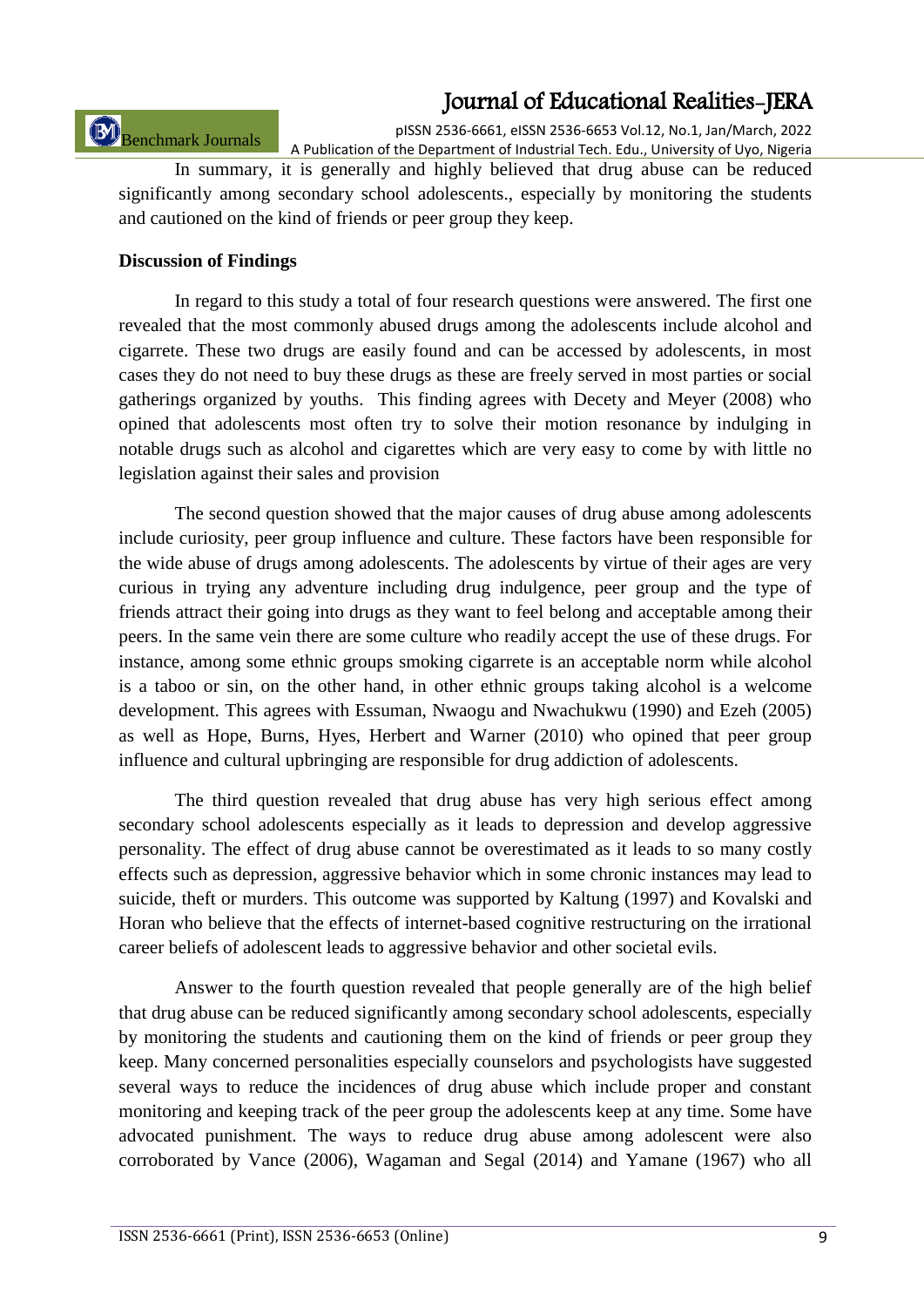# Benchmark Journals

pISSN 2536-6661, eISSN 2536-6653 Vol.12, No.1, Jan/March, 2022 A Publication of the Department of Industrial Tech. Edu., University of Uyo, Nigeria

In summary, it is generally and highly believed that drug abuse can be reduced significantly among secondary school adolescents., especially by monitoring the students and cautioned on the kind of friends or peer group they keep.

### **Discussion of Findings**

In regard to this study a total of four research questions were answered. The first one revealed that the most commonly abused drugs among the adolescents include alcohol and cigarrete. These two drugs are easily found and can be accessed by adolescents, in most cases they do not need to buy these drugs as these are freely served in most parties or social gatherings organized by youths. This finding agrees with Decety and Meyer (2008) who opined that adolescents most often try to solve their motion resonance by indulging in notable drugs such as alcohol and cigarettes which are very easy to come by with little no legislation against their sales and provision

The second question showed that the major causes of drug abuse among adolescents include curiosity, peer group influence and culture. These factors have been responsible for the wide abuse of drugs among adolescents. The adolescents by virtue of their ages are very curious in trying any adventure including drug indulgence, peer group and the type of friends attract their going into drugs as they want to feel belong and acceptable among their peers. In the same vein there are some culture who readily accept the use of these drugs. For instance, among some ethnic groups smoking cigarrete is an acceptable norm while alcohol is a taboo or sin, on the other hand, in other ethnic groups taking alcohol is a welcome development. This agrees with Essuman, Nwaogu and Nwachukwu (1990) and Ezeh (2005) as well as Hope, Burns, Hyes, Herbert and Warner (2010) who opined that peer group influence and cultural upbringing are responsible for drug addiction of adolescents.

The third question revealed that drug abuse has very high serious effect among secondary school adolescents especially as it leads to depression and develop aggressive personality. The effect of drug abuse cannot be overestimated as it leads to so many costly effects such as depression, aggressive behavior which in some chronic instances may lead to suicide, theft or murders. This outcome was supported by Kaltung (1997) and Kovalski and Horan who believe that the effects of internet-based cognitive restructuring on the irrational career beliefs of adolescent leads to aggressive behavior and other societal evils.

Answer to the fourth question revealed that people generally are of the high belief that drug abuse can be reduced significantly among secondary school adolescents, especially by monitoring the students and cautioning them on the kind of friends or peer group they keep. Many concerned personalities especially counselors and psychologists have suggested several ways to reduce the incidences of drug abuse which include proper and constant monitoring and keeping track of the peer group the adolescents keep at any time. Some have advocated punishment. The ways to reduce drug abuse among adolescent were also corroborated by Vance (2006), Wagaman and Segal (2014) and Yamane (1967) who all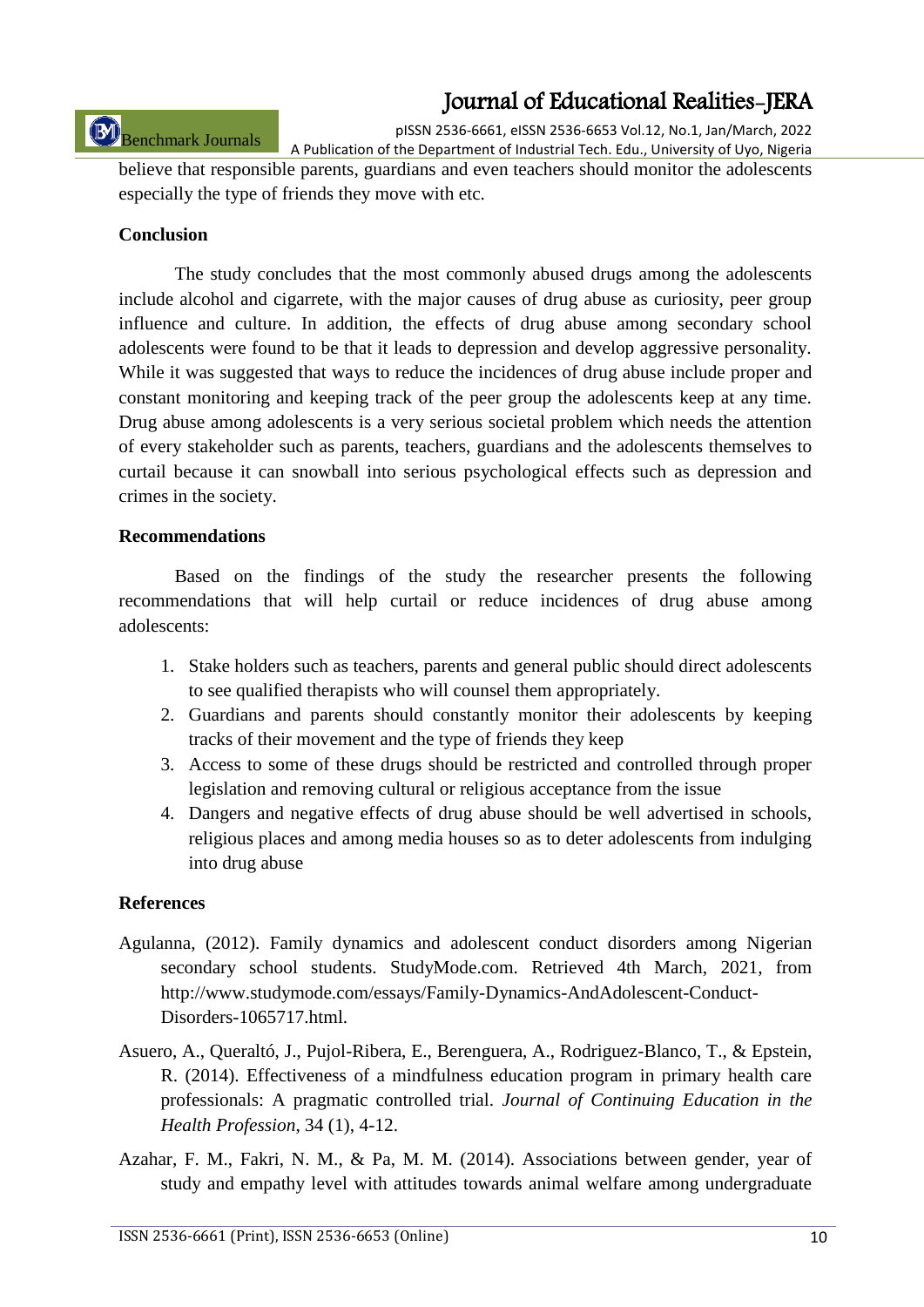# Benchmark Journals

pISSN 2536-6661, eISSN 2536-6653 Vol.12, No.1, Jan/March, 2022 A Publication of the Department of Industrial Tech. Edu., University of Uyo, Nigeria

believe that responsible parents, guardians and even teachers should monitor the adolescents especially the type of friends they move with etc.

#### **Conclusion**

The study concludes that the most commonly abused drugs among the adolescents include alcohol and cigarrete, with the major causes of drug abuse as curiosity, peer group influence and culture. In addition, the effects of drug abuse among secondary school adolescents were found to be that it leads to depression and develop aggressive personality. While it was suggested that ways to reduce the incidences of drug abuse include proper and constant monitoring and keeping track of the peer group the adolescents keep at any time. Drug abuse among adolescents is a very serious societal problem which needs the attention of every stakeholder such as parents, teachers, guardians and the adolescents themselves to curtail because it can snowball into serious psychological effects such as depression and crimes in the society.

#### **Recommendations**

Based on the findings of the study the researcher presents the following recommendations that will help curtail or reduce incidences of drug abuse among adolescents:

- 1. Stake holders such as teachers, parents and general public should direct adolescents to see qualified therapists who will counsel them appropriately.
- 2. Guardians and parents should constantly monitor their adolescents by keeping tracks of their movement and the type of friends they keep
- 3. Access to some of these drugs should be restricted and controlled through proper legislation and removing cultural or religious acceptance from the issue
- 4. Dangers and negative effects of drug abuse should be well advertised in schools, religious places and among media houses so as to deter adolescents from indulging into drug abuse

### **References**

- Agulanna, (2012). Family dynamics and adolescent conduct disorders among Nigerian secondary school students. StudyMode.com. Retrieved 4th March, 2021, from http://www.studymode.com/essays/Family-Dynamics-AndAdolescent-Conduct-Disorders-1065717.html.
- Asuero, A., Queraltó, J., Pujol-Ribera, E., Berenguera, A., Rodriguez-Blanco, T., & Epstein, R. (2014). Effectiveness of a mindfulness education program in primary health care professionals: A pragmatic controlled trial. *Journal of Continuing Education in the Health Profession*, 34 (1), 4-12.
- Azahar, F. M., Fakri, N. M., & Pa, M. M. (2014). Associations between gender, year of study and empathy level with attitudes towards animal welfare among undergraduate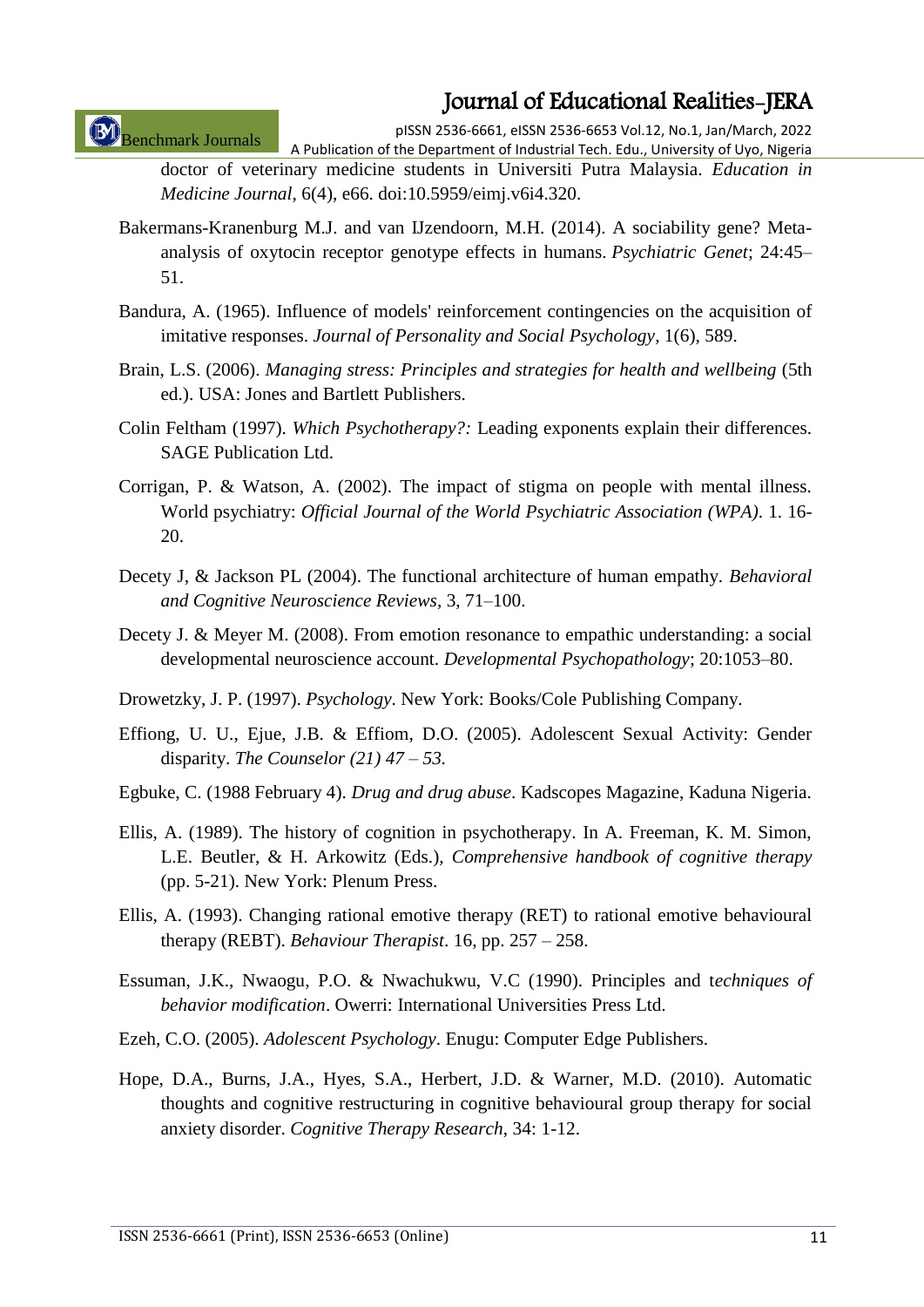Benchmark Journals

pISSN 2536-6661, eISSN 2536-6653 Vol.12, No.1, Jan/March, 2022

A Publication of the Department of Industrial Tech. Edu., University of Uyo, Nigeria doctor of veterinary medicine students in Universiti Putra Malaysia. *Education in Medicine Journal*, 6(4), e66. doi:10.5959/eimj.v6i4.320.

- Bakermans-Kranenburg M.J. and van IJzendoorn, M.H. (2014). A sociability gene? Metaanalysis of oxytocin receptor genotype effects in humans. *Psychiatric Genet*; 24:45– 51.
- Bandura, A. (1965). Influence of models' reinforcement contingencies on the acquisition of imitative responses. *Journal of Personality and Social Psychology*, 1(6), 589.
- Brain, L.S. (2006). *Managing stress: Principles and strategies for health and wellbeing* (5th ed.). USA: Jones and Bartlett Publishers.
- Colin Feltham (1997). *Which Psychotherapy?:* Leading exponents explain their differences. SAGE Publication Ltd.
- Corrigan, P. & Watson, A. (2002). The impact of stigma on people with mental illness. World psychiatry: *Official Journal of the World Psychiatric Association (WPA)*. 1. 16- 20.
- Decety J, & Jackson PL (2004). The functional architecture of human empathy. *Behavioral and Cognitive Neuroscience Reviews*, 3, 71–100.
- Decety J. & Meyer M. (2008). From emotion resonance to empathic understanding: a social developmental neuroscience account. *Developmental Psychopathology*; 20:1053–80.
- Drowetzky, J. P. (1997). *Psychology*. New York: Books/Cole Publishing Company.
- Effiong, U. U., Ejue, J.B. & Effiom, D.O. (2005). Adolescent Sexual Activity: Gender disparity. *The Counselor (21) 47 – 53.*
- Egbuke, C. (1988 February 4). *Drug and drug abuse*. Kadscopes Magazine, Kaduna Nigeria.
- Ellis, A. (1989). The history of cognition in psychotherapy. In A. Freeman, K. M. Simon, L.E. Beutler, & H. Arkowitz (Eds.), *Comprehensive handbook of cognitive therapy* (pp. 5-21). New York: Plenum Press.
- Ellis, A. (1993). Changing rational emotive therapy (RET) to rational emotive behavioural therapy (REBT). *Behaviour Therapist*. 16, pp. 257 – 258.
- Essuman, J.K., Nwaogu, P.O. & Nwachukwu, V.C (1990). Principles and t*echniques of behavior modification*. Owerri: International Universities Press Ltd.
- Ezeh, C.O. (2005). *Adolescent Psychology*. Enugu: Computer Edge Publishers.
- Hope, D.A., Burns, J.A., Hyes, S.A., Herbert, J.D. & Warner, M.D. (2010). Automatic thoughts and cognitive restructuring in cognitive behavioural group therapy for social anxiety disorder. *Cognitive Therapy Research*, 34: 1-12.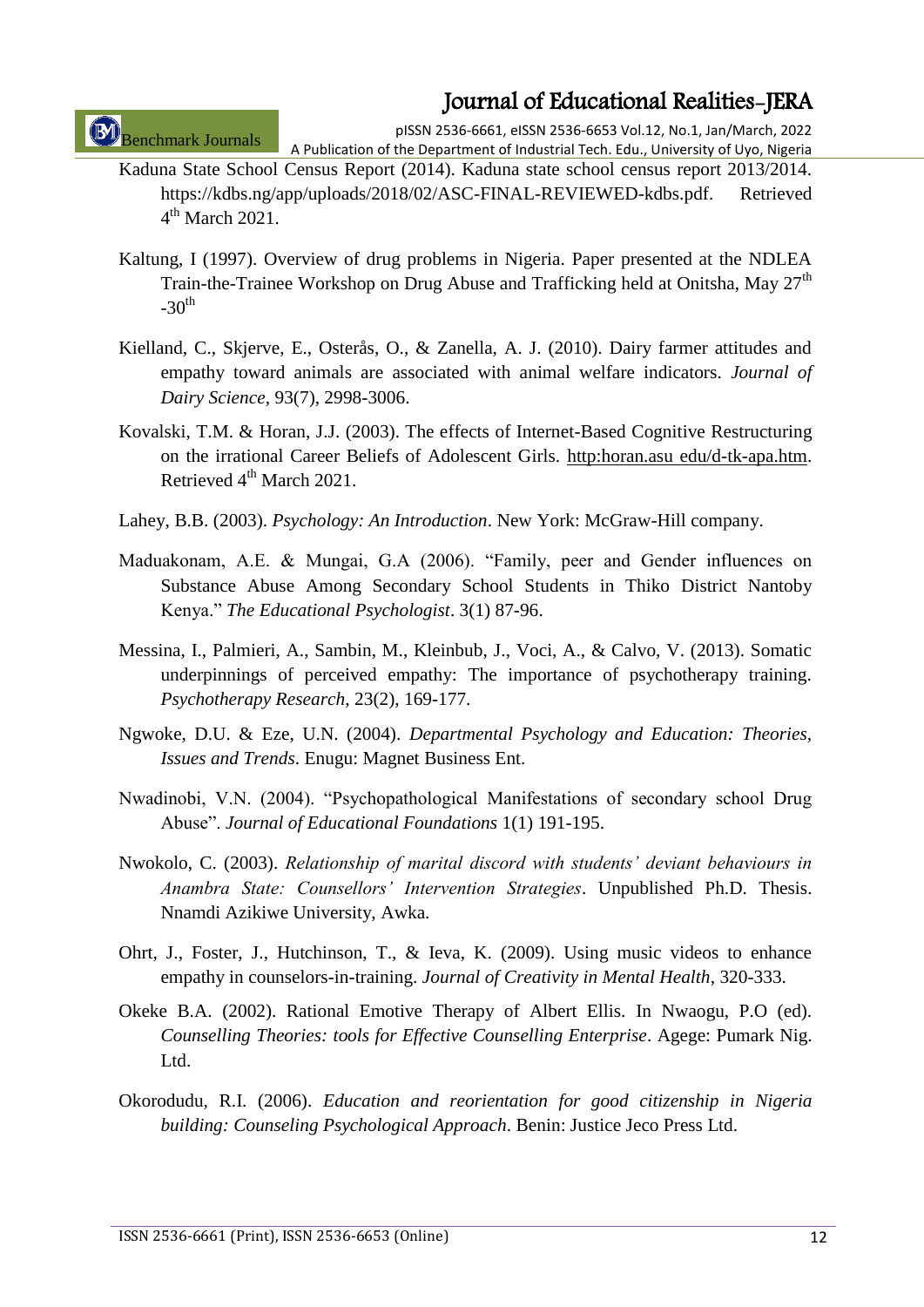Benchmark Journals

pISSN 2536-6661, eISSN 2536-6653 Vol.12, No.1, Jan/March, 2022 A Publication of the Department of Industrial Tech. Edu., University of Uyo, Nigeria

- Kaduna State School Census Report (2014). Kaduna state school census report 2013/2014. https://kdbs.ng/app/uploads/2018/02/ASC-FINAL-REVIEWED-kdbs.pdf. Retrieved 4<sup>th</sup> March 2021.
- Kaltung, I (1997). Overview of drug problems in Nigeria. Paper presented at the NDLEA Train-the-Trainee Workshop on Drug Abuse and Trafficking held at Onitsha, Mav 27<sup>th</sup>  $-30<sup>th</sup>$
- Kielland, C., Skjerve, E., Osterås, O., & Zanella, A. J. (2010). Dairy farmer attitudes and empathy toward animals are associated with animal welfare indicators. *Journal of Dairy Science,* 93(7), 2998-3006.
- Kovalski, T.M. & Horan, J.J. (2003). The effects of Internet-Based Cognitive Restructuring on the irrational Career Beliefs of Adolescent Girls. http:horan.asu edu/d-tk-apa.htm. Retrieved 4<sup>th</sup> March 2021.
- Lahey, B.B. (2003). *Psychology: An Introduction*. New York: McGraw-Hill company.
- Maduakonam, A.E. & Mungai, G.A (2006). "Family, peer and Gender influences on Substance Abuse Among Secondary School Students in Thiko District Nantoby Kenya." *The Educational Psychologist*. 3(1) 87-96.
- Messina, I., Palmieri, A., Sambin, M., Kleinbub, J., Voci, A., & Calvo, V. (2013). Somatic underpinnings of perceived empathy: The importance of psychotherapy training. *Psychotherapy Research*, 23(2), 169-177.
- Ngwoke, D.U. & Eze, U.N. (2004). *Departmental Psychology and Education: Theories, Issues and Trends*. Enugu: Magnet Business Ent.
- Nwadinobi, V.N. (2004). "Psychopathological Manifestations of secondary school Drug Abuse". *Journal of Educational Foundations* 1(1) 191-195.
- Nwokolo, C. (2003). *Relationship of marital discord with students' deviant behaviours in Anambra State: Counsellors' Intervention Strategies*. Unpublished Ph.D. Thesis. Nnamdi Azikiwe University, Awka.
- Ohrt, J., Foster, J., Hutchinson, T., & Ieva, K. (2009). Using music videos to enhance empathy in counselors-in-training. *Journal of Creativity in Mental Health*, 320-333.
- Okeke B.A. (2002). Rational Emotive Therapy of Albert Ellis. In Nwaogu, P.O (ed). *Counselling Theories: tools for Effective Counselling Enterprise*. Agege: Pumark Nig. Ltd.
- Okorodudu, R.I. (2006). *Education and reorientation for good citizenship in Nigeria building: Counseling Psychological Approach*. Benin: Justice Jeco Press Ltd.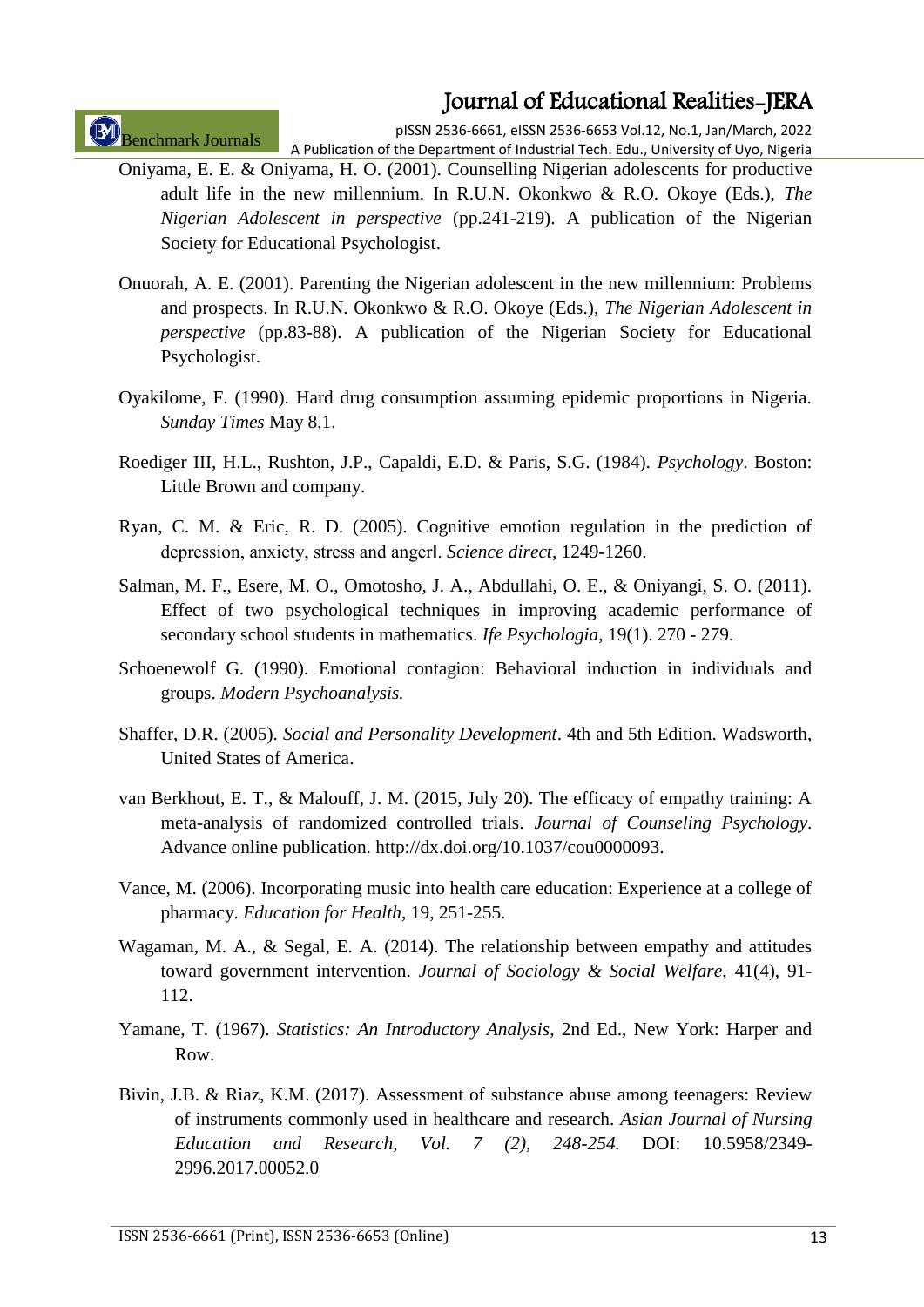Benchmark Journals

pISSN 2536-6661, eISSN 2536-6653 Vol.12, No.1, Jan/March, 2022 A Publication of the Department of Industrial Tech. Edu., University of Uyo, Nigeria

- Oniyama, E. E. & Oniyama, H. O. (2001). Counselling Nigerian adolescents for productive adult life in the new millennium. In R.U.N. Okonkwo & R.O. Okoye (Eds.), *The Nigerian Adolescent in perspective* (pp.241-219). A publication of the Nigerian Society for Educational Psychologist.
- Onuorah, A. E. (2001). Parenting the Nigerian adolescent in the new millennium: Problems and prospects. In R.U.N. Okonkwo & R.O. Okoye (Eds.), *The Nigerian Adolescent in perspective* (pp.83-88). A publication of the Nigerian Society for Educational Psychologist.
- Oyakilome, F. (1990). Hard drug consumption assuming epidemic proportions in Nigeria. *Sunday Times* May 8,1.
- Roediger III, H.L., Rushton, J.P., Capaldi, E.D. & Paris, S.G. (1984). *Psychology*. Boston: Little Brown and company.
- Ryan, C. M. & Eric, R. D. (2005). Cognitive emotion regulation in the prediction of depression, anxiety, stress and anger‖. *Science direct*, 1249-1260.
- Salman, M. F., Esere, M. O., Omotosho, J. A., Abdullahi, O. E., & Oniyangi, S. O. (2011). Effect of two psychological techniques in improving academic performance of secondary school students in mathematics. *Ife Psychologia,* 19(1). 270 - 279.
- Schoenewolf G. (1990). Emotional contagion: Behavioral induction in individuals and groups. *Modern Psychoanalysis.*
- Shaffer, D.R. (2005). *Social and Personality Development*. 4th and 5th Edition. Wadsworth, United States of America.
- van Berkhout, E. T., & Malouff, J. M. (2015, July 20). The efficacy of empathy training: A meta-analysis of randomized controlled trials. *Journal of Counseling Psychology*. Advance online publication. http://dx.doi.org/10.1037/cou0000093.
- Vance, M. (2006). Incorporating music into health care education: Experience at a college of pharmacy. *Education for Health*, 19, 251-255.
- Wagaman, M. A., & Segal, E. A. (2014). The relationship between empathy and attitudes toward government intervention. *Journal of Sociology & Social Welfare*, 41(4), 91- 112.
- Yamane, T. (1967). *Statistics: An Introductory Analysis*, 2nd Ed., New York: Harper and Row.
- Bivin, J.B. & Riaz, K.M. (2017). Assessment of substance abuse among teenagers: Review of instruments commonly used in healthcare and research. *Asian Journal of Nursing Education and Research, Vol. 7 (2), 248-254.* DOI: 10.5958/2349- 2996.2017.00052.0